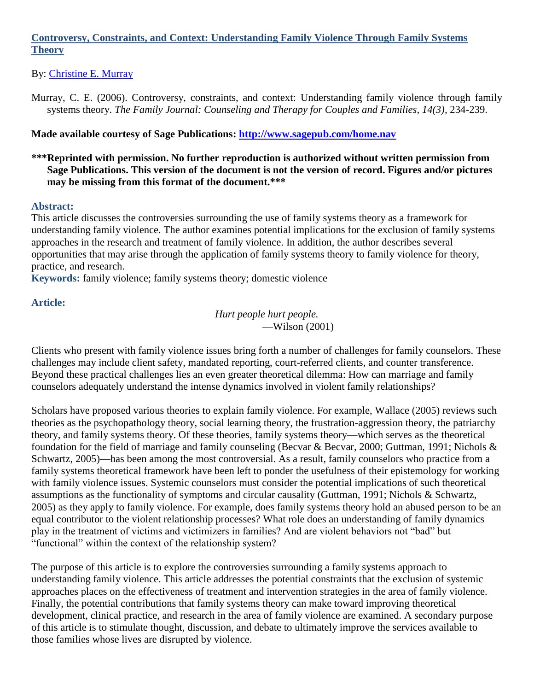# **Controversy, Constraints, and Context: Understanding Family Violence Through Family Systems Theory**

## By: [Christine E. Murray](http://libres.uncg.edu/ir/uncg/clist.aspx?id=894)

Murray, C. E. (2006). Controversy, constraints, and context: Understanding family violence through family systems theory. *The Family Journal: Counseling and Therapy for Couples and Families, 14(3), 234-239.* 

## **Made available courtesy of Sage Publications:<http://www.sagepub.com/home.nav>**

## **\*\*\*Reprinted with permission. No further reproduction is authorized without written permission from Sage Publications. This version of the document is not the version of record. Figures and/or pictures may be missing from this format of the document.\*\*\***

### **Abstract:**

This article discusses the controversies surrounding the use of family systems theory as a framework for understanding family violence. The author examines potential implications for the exclusion of family systems approaches in the research and treatment of family violence. In addition, the author describes several opportunities that may arise through the application of family systems theory to family violence for theory, practice, and research.

**Keywords:** family violence; family systems theory; domestic violence

### **Article:**

*Hurt people hurt people.* —Wilson (2001)

Clients who present with family violence issues bring forth a number of challenges for family counselors. These challenges may include client safety, mandated reporting, court-referred clients, and counter transference. Beyond these practical challenges lies an even greater theoretical dilemma: How can marriage and family counselors adequately understand the intense dynamics involved in violent family relationships?

Scholars have proposed various theories to explain family violence. For example, Wallace (2005) reviews such theories as the psychopathology theory, social learning theory, the frustration-aggression theory, the patriarchy theory, and family systems theory. Of these theories, family systems theory—which serves as the theoretical foundation for the field of marriage and family counseling (Becvar & Becvar, 2000; Guttman, 1991; Nichols & Schwartz, 2005)—has been among the most controversial. As a result, family counselors who practice from a family systems theoretical framework have been left to ponder the usefulness of their epistemology for working with family violence issues. Systemic counselors must consider the potential implications of such theoretical assumptions as the functionality of symptoms and circular causality (Guttman, 1991; Nichols & Schwartz, 2005) as they apply to family violence. For example, does family systems theory hold an abused person to be an equal contributor to the violent relationship processes? What role does an understanding of family dynamics play in the treatment of victims and victimizers in families? And are violent behaviors not "bad" but "functional" within the context of the relationship system?

The purpose of this article is to explore the controversies surrounding a family systems approach to understanding family violence. This article addresses the potential constraints that the exclusion of systemic approaches places on the effectiveness of treatment and intervention strategies in the area of family violence. Finally, the potential contributions that family systems theory can make toward improving theoretical development, clinical practice, and research in the area of family violence are examined. A secondary purpose of this article is to stimulate thought, discussion, and debate to ultimately improve the services available to those families whose lives are disrupted by violence.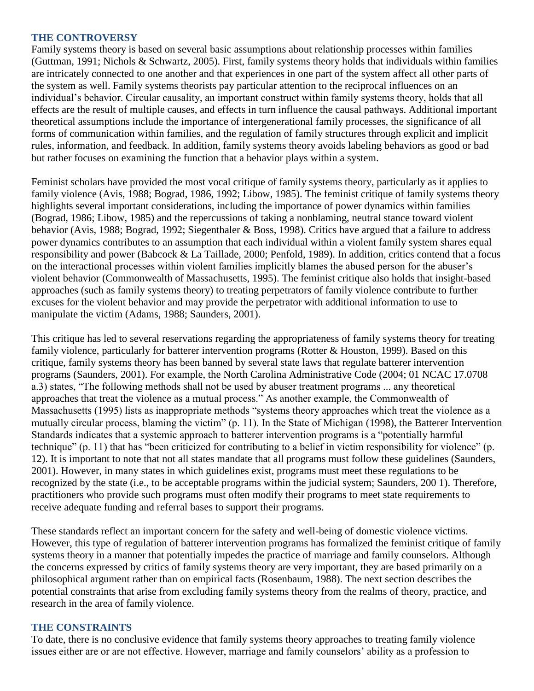#### **THE CONTROVERSY**

Family systems theory is based on several basic assumptions about relationship processes within families (Guttman, 1991; Nichols & Schwartz, 2005). First, family systems theory holds that individuals within families are intricately connected to one another and that experiences in one part of the system affect all other parts of the system as well. Family systems theorists pay particular attention to the reciprocal influences on an individual's behavior. Circular causality, an important construct within family systems theory, holds that all effects are the result of multiple causes, and effects in turn influence the causal pathways. Additional important theoretical assumptions include the importance of intergenerational family processes, the significance of all forms of communication within families, and the regulation of family structures through explicit and implicit rules, information, and feedback. In addition, family systems theory avoids labeling behaviors as good or bad but rather focuses on examining the function that a behavior plays within a system.

Feminist scholars have provided the most vocal critique of family systems theory, particularly as it applies to family violence (Avis, 1988; Bograd, 1986, 1992; Libow, 1985). The feminist critique of family systems theory highlights several important considerations, including the importance of power dynamics within families (Bograd, 1986; Libow, 1985) and the repercussions of taking a nonblaming, neutral stance toward violent behavior (Avis, 1988; Bograd, 1992; Siegenthaler & Boss, 1998). Critics have argued that a failure to address power dynamics contributes to an assumption that each individual within a violent family system shares equal responsibility and power (Babcock & La Taillade, 2000; Penfold, 1989). In addition, critics contend that a focus on the interactional processes within violent families implicitly blames the abused person for the abuser's violent behavior (Commonwealth of Massachusetts, 1995). The feminist critique also holds that insight-based approaches (such as family systems theory) to treating perpetrators of family violence contribute to further excuses for the violent behavior and may provide the perpetrator with additional information to use to manipulate the victim (Adams, 1988; Saunders, 2001).

This critique has led to several reservations regarding the appropriateness of family systems theory for treating family violence, particularly for batterer intervention programs (Rotter & Houston, 1999). Based on this critique, family systems theory has been banned by several state laws that regulate batterer intervention programs (Saunders, 2001). For example, the North Carolina Administrative Code (2004; 01 NCAC 17.0708 a.3) states, "The following methods shall not be used by abuser treatment programs ... any theoretical approaches that treat the violence as a mutual process." As another example, the Commonwealth of Massachusetts (1995) lists as inappropriate methods "systems theory approaches which treat the violence as a mutually circular process, blaming the victim" (p. 11). In the State of Michigan (1998), the Batterer Intervention Standards indicates that a systemic approach to batterer intervention programs is a "potentially harmful technique" (p. 11) that has "been criticized for contributing to a belief in victim responsibility for violence" (p. 12). It is important to note that not all states mandate that all programs must follow these guidelines (Saunders, 2001). However, in many states in which guidelines exist, programs must meet these regulations to be recognized by the state (i.e., to be acceptable programs within the judicial system; Saunders, 200 1). Therefore, practitioners who provide such programs must often modify their programs to meet state requirements to receive adequate funding and referral bases to support their programs.

These standards reflect an important concern for the safety and well-being of domestic violence victims. However, this type of regulation of batterer intervention programs has formalized the feminist critique of family systems theory in a manner that potentially impedes the practice of marriage and family counselors. Although the concerns expressed by critics of family systems theory are very important, they are based primarily on a philosophical argument rather than on empirical facts (Rosenbaum, 1988). The next section describes the potential constraints that arise from excluding family systems theory from the realms of theory, practice, and research in the area of family violence.

### **THE CONSTRAINTS**

To date, there is no conclusive evidence that family systems theory approaches to treating family violence issues either are or are not effective. However, marriage and family counselors' ability as a profession to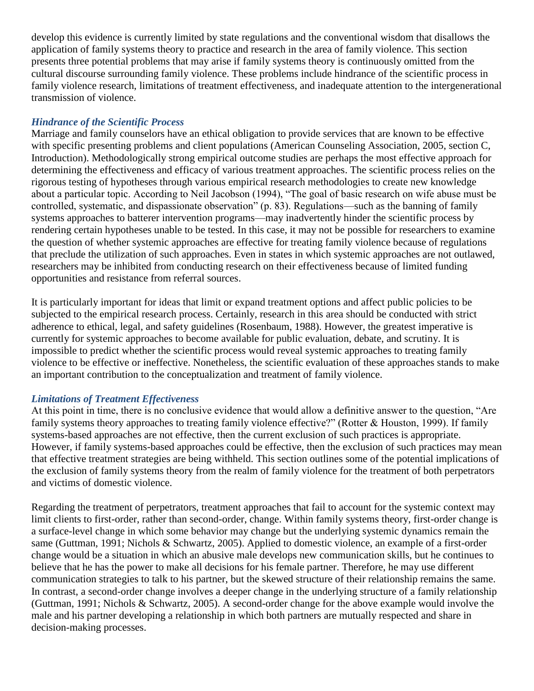develop this evidence is currently limited by state regulations and the conventional wisdom that disallows the application of family systems theory to practice and research in the area of family violence. This section presents three potential problems that may arise if family systems theory is continuously omitted from the cultural discourse surrounding family violence. These problems include hindrance of the scientific process in family violence research, limitations of treatment effectiveness, and inadequate attention to the intergenerational transmission of violence.

## *Hindrance of the Scientific Process*

Marriage and family counselors have an ethical obligation to provide services that are known to be effective with specific presenting problems and client populations (American Counseling Association, 2005, section C, Introduction). Methodologically strong empirical outcome studies are perhaps the most effective approach for determining the effectiveness and efficacy of various treatment approaches. The scientific process relies on the rigorous testing of hypotheses through various empirical research methodologies to create new knowledge about a particular topic. According to Neil Jacobson (1994), "The goal of basic research on wife abuse must be controlled, systematic, and dispassionate observation" (p. 83). Regulations—such as the banning of family systems approaches to batterer intervention programs—may inadvertently hinder the scientific process by rendering certain hypotheses unable to be tested. In this case, it may not be possible for researchers to examine the question of whether systemic approaches are effective for treating family violence because of regulations that preclude the utilization of such approaches. Even in states in which systemic approaches are not outlawed, researchers may be inhibited from conducting research on their effectiveness because of limited funding opportunities and resistance from referral sources.

It is particularly important for ideas that limit or expand treatment options and affect public policies to be subjected to the empirical research process. Certainly, research in this area should be conducted with strict adherence to ethical, legal, and safety guidelines (Rosenbaum, 1988). However, the greatest imperative is currently for systemic approaches to become available for public evaluation, debate, and scrutiny. It is impossible to predict whether the scientific process would reveal systemic approaches to treating family violence to be effective or ineffective. Nonetheless, the scientific evaluation of these approaches stands to make an important contribution to the conceptualization and treatment of family violence.

## *Limitations of Treatment Effectiveness*

At this point in time, there is no conclusive evidence that would allow a definitive answer to the question, "Are family systems theory approaches to treating family violence effective?" (Rotter & Houston, 1999). If family systems-based approaches are not effective, then the current exclusion of such practices is appropriate. However, if family systems-based approaches could be effective, then the exclusion of such practices may mean that effective treatment strategies are being withheld. This section outlines some of the potential implications of the exclusion of family systems theory from the realm of family violence for the treatment of both perpetrators and victims of domestic violence.

Regarding the treatment of perpetrators, treatment approaches that fail to account for the systemic context may limit clients to first-order, rather than second-order, change. Within family systems theory, first-order change is a surface-level change in which some behavior may change but the underlying systemic dynamics remain the same (Guttman, 1991; Nichols & Schwartz, 2005). Applied to domestic violence, an example of a first-order change would be a situation in which an abusive male develops new communication skills, but he continues to believe that he has the power to make all decisions for his female partner. Therefore, he may use different communication strategies to talk to his partner, but the skewed structure of their relationship remains the same. In contrast, a second-order change involves a deeper change in the underlying structure of a family relationship (Guttman, 1991; Nichols & Schwartz, 2005). A second-order change for the above example would involve the male and his partner developing a relationship in which both partners are mutually respected and share in decision-making processes.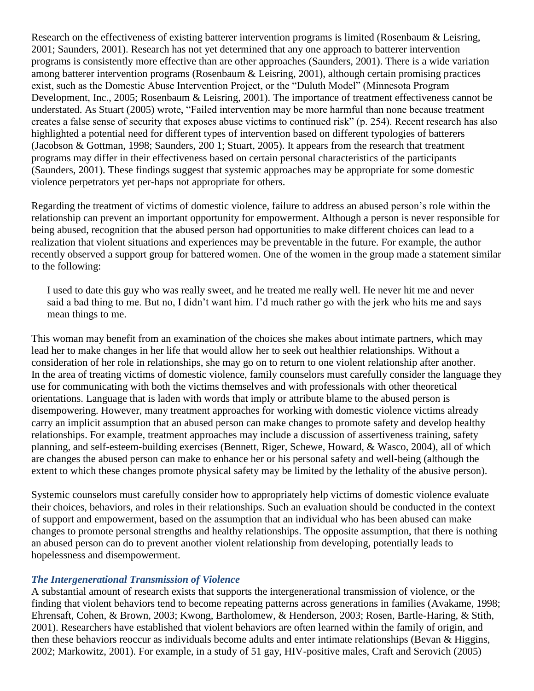Research on the effectiveness of existing batterer intervention programs is limited (Rosenbaum & Leisring, 2001; Saunders, 2001). Research has not yet determined that any one approach to batterer intervention programs is consistently more effective than are other approaches (Saunders, 2001). There is a wide variation among batterer intervention programs (Rosenbaum & Leisring, 2001), although certain promising practices exist, such as the Domestic Abuse Intervention Project, or the "Duluth Model" (Minnesota Program Development, Inc., 2005; Rosenbaum & Leisring, 2001). The importance of treatment effectiveness cannot be understated. As Stuart (2005) wrote, "Failed intervention may be more harmful than none because treatment creates a false sense of security that exposes abuse victims to continued risk" (p. 254). Recent research has also highlighted a potential need for different types of intervention based on different typologies of batterers (Jacobson & Gottman, 1998; Saunders, 200 1; Stuart, 2005). It appears from the research that treatment programs may differ in their effectiveness based on certain personal characteristics of the participants (Saunders, 2001). These findings suggest that systemic approaches may be appropriate for some domestic violence perpetrators yet per-haps not appropriate for others.

Regarding the treatment of victims of domestic violence, failure to address an abused person's role within the relationship can prevent an important opportunity for empowerment. Although a person is never responsible for being abused, recognition that the abused person had opportunities to make different choices can lead to a realization that violent situations and experiences may be preventable in the future. For example, the author recently observed a support group for battered women. One of the women in the group made a statement similar to the following:

I used to date this guy who was really sweet, and he treated me really well. He never hit me and never said a bad thing to me. But no, I didn't want him. I'd much rather go with the jerk who hits me and says mean things to me.

This woman may benefit from an examination of the choices she makes about intimate partners, which may lead her to make changes in her life that would allow her to seek out healthier relationships. Without a consideration of her role in relationships, she may go on to return to one violent relationship after another. In the area of treating victims of domestic violence, family counselors must carefully consider the language they use for communicating with both the victims themselves and with professionals with other theoretical orientations. Language that is laden with words that imply or attribute blame to the abused person is disempowering. However, many treatment approaches for working with domestic violence victims already carry an implicit assumption that an abused person can make changes to promote safety and develop healthy relationships. For example, treatment approaches may include a discussion of assertiveness training, safety planning, and self-esteem-building exercises (Bennett, Riger, Schewe, Howard, & Wasco, 2004), all of which are changes the abused person can make to enhance her or his personal safety and well-being (although the extent to which these changes promote physical safety may be limited by the lethality of the abusive person).

Systemic counselors must carefully consider how to appropriately help victims of domestic violence evaluate their choices, behaviors, and roles in their relationships. Such an evaluation should be conducted in the context of support and empowerment, based on the assumption that an individual who has been abused can make changes to promote personal strengths and healthy relationships. The opposite assumption, that there is nothing an abused person can do to prevent another violent relationship from developing, potentially leads to hopelessness and disempowerment.

### *The Intergenerational Transmission of Violence*

A substantial amount of research exists that supports the intergenerational transmission of violence, or the finding that violent behaviors tend to become repeating patterns across generations in families (Avakame, 1998; Ehrensaft, Cohen, & Brown, 2003; Kwong, Bartholomew, & Henderson, 2003; Rosen, Bartle-Haring, & Stith, 2001). Researchers have established that violent behaviors are often learned within the family of origin, and then these behaviors reoccur as individuals become adults and enter intimate relationships (Bevan & Higgins, 2002; Markowitz, 2001). For example, in a study of 51 gay, HIV-positive males, Craft and Serovich (2005)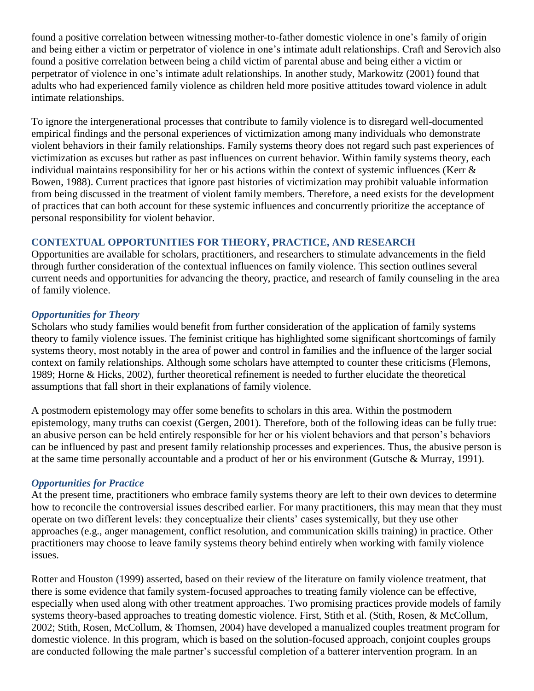found a positive correlation between witnessing mother-to-father domestic violence in one's family of origin and being either a victim or perpetrator of violence in one's intimate adult relationships. Craft and Serovich also found a positive correlation between being a child victim of parental abuse and being either a victim or perpetrator of violence in one's intimate adult relationships. In another study, Markowitz (2001) found that adults who had experienced family violence as children held more positive attitudes toward violence in adult intimate relationships.

To ignore the intergenerational processes that contribute to family violence is to disregard well-documented empirical findings and the personal experiences of victimization among many individuals who demonstrate violent behaviors in their family relationships. Family systems theory does not regard such past experiences of victimization as excuses but rather as past influences on current behavior. Within family systems theory, each individual maintains responsibility for her or his actions within the context of systemic influences (Kerr & Bowen, 1988). Current practices that ignore past histories of victimization may prohibit valuable information from being discussed in the treatment of violent family members. Therefore, a need exists for the development of practices that can both account for these systemic influences and concurrently prioritize the acceptance of personal responsibility for violent behavior.

## **CONTEXTUAL OPPORTUNITIES FOR THEORY, PRACTICE, AND RESEARCH**

Opportunities are available for scholars, practitioners, and researchers to stimulate advancements in the field through further consideration of the contextual influences on family violence. This section outlines several current needs and opportunities for advancing the theory, practice, and research of family counseling in the area of family violence.

### *Opportunities for Theory*

Scholars who study families would benefit from further consideration of the application of family systems theory to family violence issues. The feminist critique has highlighted some significant shortcomings of family systems theory, most notably in the area of power and control in families and the influence of the larger social context on family relationships. Although some scholars have attempted to counter these criticisms (Flemons, 1989; Horne & Hicks, 2002), further theoretical refinement is needed to further elucidate the theoretical assumptions that fall short in their explanations of family violence.

A postmodern epistemology may offer some benefits to scholars in this area. Within the postmodern epistemology, many truths can coexist (Gergen, 2001). Therefore, both of the following ideas can be fully true: an abusive person can be held entirely responsible for her or his violent behaviors and that person's behaviors can be influenced by past and present family relationship processes and experiences. Thus, the abusive person is at the same time personally accountable and a product of her or his environment (Gutsche & Murray, 1991).

### *Opportunities for Practice*

At the present time, practitioners who embrace family systems theory are left to their own devices to determine how to reconcile the controversial issues described earlier. For many practitioners, this may mean that they must operate on two different levels: they conceptualize their clients' cases systemically, but they use other approaches (e.g., anger management, conflict resolution, and communication skills training) in practice. Other practitioners may choose to leave family systems theory behind entirely when working with family violence issues.

Rotter and Houston (1999) asserted, based on their review of the literature on family violence treatment, that there is some evidence that family system-focused approaches to treating family violence can be effective, especially when used along with other treatment approaches. Two promising practices provide models of family systems theory-based approaches to treating domestic violence. First, Stith et al. (Stith, Rosen, & McCollum, 2002; Stith, Rosen, McCollum, & Thomsen, 2004) have developed a manualized couples treatment program for domestic violence. In this program, which is based on the solution-focused approach, conjoint couples groups are conducted following the male partner's successful completion of a batterer intervention program. In an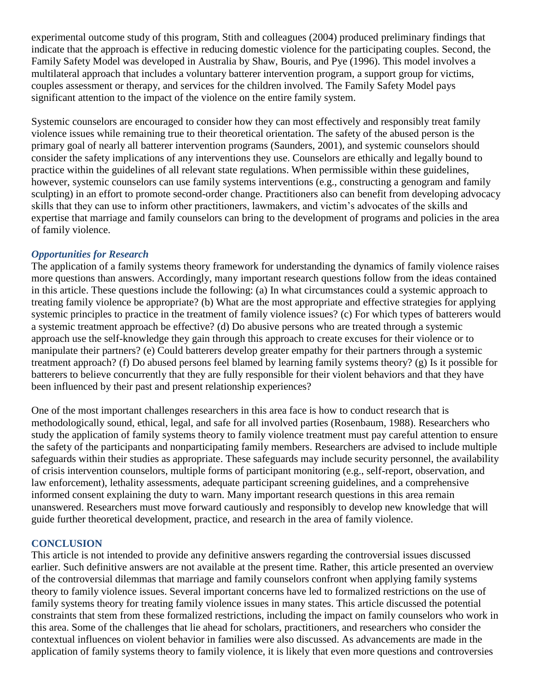experimental outcome study of this program, Stith and colleagues (2004) produced preliminary findings that indicate that the approach is effective in reducing domestic violence for the participating couples. Second, the Family Safety Model was developed in Australia by Shaw, Bouris, and Pye (1996). This model involves a multilateral approach that includes a voluntary batterer intervention program, a support group for victims, couples assessment or therapy, and services for the children involved. The Family Safety Model pays significant attention to the impact of the violence on the entire family system.

Systemic counselors are encouraged to consider how they can most effectively and responsibly treat family violence issues while remaining true to their theoretical orientation. The safety of the abused person is the primary goal of nearly all batterer intervention programs (Saunders, 2001), and systemic counselors should consider the safety implications of any interventions they use. Counselors are ethically and legally bound to practice within the guidelines of all relevant state regulations. When permissible within these guidelines, however, systemic counselors can use family systems interventions (e.g., constructing a genogram and family sculpting) in an effort to promote second-order change. Practitioners also can benefit from developing advocacy skills that they can use to inform other practitioners, lawmakers, and victim's advocates of the skills and expertise that marriage and family counselors can bring to the development of programs and policies in the area of family violence.

## *Opportunities for Research*

The application of a family systems theory framework for understanding the dynamics of family violence raises more questions than answers. Accordingly, many important research questions follow from the ideas contained in this article. These questions include the following: (a) In what circumstances could a systemic approach to treating family violence be appropriate? (b) What are the most appropriate and effective strategies for applying systemic principles to practice in the treatment of family violence issues? (c) For which types of batterers would a systemic treatment approach be effective? (d) Do abusive persons who are treated through a systemic approach use the self-knowledge they gain through this approach to create excuses for their violence or to manipulate their partners? (e) Could batterers develop greater empathy for their partners through a systemic treatment approach? (f) Do abused persons feel blamed by learning family systems theory? (g) Is it possible for batterers to believe concurrently that they are fully responsible for their violent behaviors and that they have been influenced by their past and present relationship experiences?

One of the most important challenges researchers in this area face is how to conduct research that is methodologically sound, ethical, legal, and safe for all involved parties (Rosenbaum, 1988). Researchers who study the application of family systems theory to family violence treatment must pay careful attention to ensure the safety of the participants and nonparticipating family members. Researchers are advised to include multiple safeguards within their studies as appropriate. These safeguards may include security personnel, the availability of crisis intervention counselors, multiple forms of participant monitoring (e.g., self-report, observation, and law enforcement), lethality assessments, adequate participant screening guidelines, and a comprehensive informed consent explaining the duty to warn. Many important research questions in this area remain unanswered. Researchers must move forward cautiously and responsibly to develop new knowledge that will guide further theoretical development, practice, and research in the area of family violence.

### **CONCLUSION**

This article is not intended to provide any definitive answers regarding the controversial issues discussed earlier. Such definitive answers are not available at the present time. Rather, this article presented an overview of the controversial dilemmas that marriage and family counselors confront when applying family systems theory to family violence issues. Several important concerns have led to formalized restrictions on the use of family systems theory for treating family violence issues in many states. This article discussed the potential constraints that stem from these formalized restrictions, including the impact on family counselors who work in this area. Some of the challenges that lie ahead for scholars, practitioners, and researchers who consider the contextual influences on violent behavior in families were also discussed. As advancements are made in the application of family systems theory to family violence, it is likely that even more questions and controversies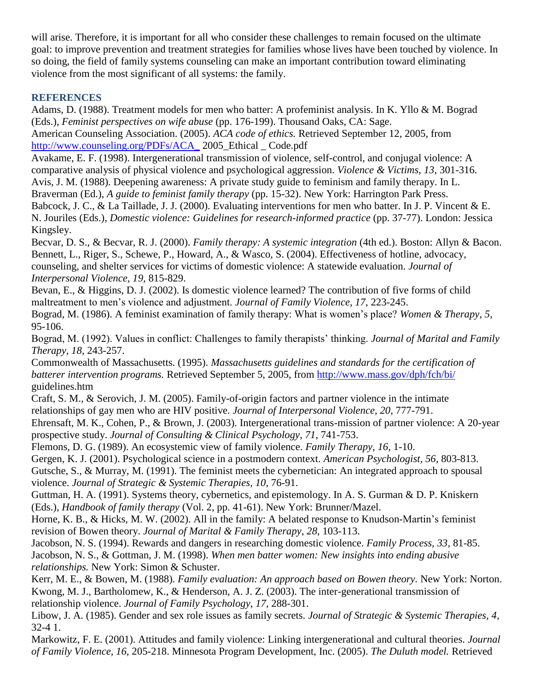will arise. Therefore, it is important for all who consider these challenges to remain focused on the ultimate goal: to improve prevention and treatment strategies for families whose lives have been touched by violence. In so doing, the field of family systems counseling can make an important contribution toward eliminating violence from the most significant of all systems: the family.

# **REFERENCES**

Adams, D. (1988). Treatment models for men who batter: A profeminist analysis. In K. Yllo & M. Bograd (Eds.), *Feminist perspectives on wife abuse* (pp. 176-199). Thousand Oaks, CA: Sage. American Counseling Association. (2005). *ACA code of ethics.* Retrieved September 12, 2005, from [http://www.counseling.org/PDFs/ACA\\_](http://www.counseling.org/PDFs/ACA_)2005\_Ethical \_ Code.pdf

Avakame, E. F. (1998). Intergenerational transmission of violence, self-control, and conjugal violence: A comparative analysis of physical violence and psychological aggression. *Violence & Victims*, *13*, 301-316. Avis, J. M. (1988). Deepening awareness: A private study guide to feminism and family therapy. In L.

Braverman (Ed.), *A guide to feminist family therapy* (pp. 15-32). New York: Harrington Park Press. Babcock, J. C., & La Taillade, J. J. (2000). Evaluating interventions for men who batter. In J. P. Vincent & E. N. Jouriles (Eds.), *Domestic violence: Guidelines for research-informed practice* (pp. 37-77). London: Jessica Kingsley.

Becvar, D. S., & Becvar, R. J. (2000). *Family therapy: A systemic integration* (4th ed.). Boston: Allyn & Bacon. Bennett, L., Riger, S., Schewe, P., Howard, A., & Wasco, S. (2004). Effectiveness of hotline, advocacy, counseling, and shelter services for victims of domestic violence: A statewide evaluation. *Journal of Interpersonal Violence, 19,* 815-829.

Bevan, E., & Higgins, D. J. (2002). Is domestic violence learned? The contribution of five forms of child maltreatment to men's violence and adjustment. *Journal of Family Violence, 17*, 223-245.

Bograd, M. (1986). A feminist examination of family therapy: What is women's place? *Women & Therapy*, *5*, 95-106.

Bograd, M. (1992). Values in conflict: Challenges to family therapists' thinking. *Journal of Marital and Family Therapy, 18*, 243-257.

Commonwealth of Massachusetts. (1995). *Massachusetts guidelines and standards for the certification of batterer intervention programs.* Retrieved September 5, 2005, from<http://www.mass.gov/dph/fch/bi/> guidelines.htm

Craft, S. M., & Serovich, J. M. (2005). Family-of-origin factors and partner violence in the intimate relationships of gay men who are HIV positive. *Journal of Interpersonal Violence*, *20*, 777-791.

Ehrensaft, M. K., Cohen, P., & Brown, J. (2003). Intergenerational trans-mission of partner violence: A 20-year prospective study. *Journal of Consulting & Clinical Psychology*, *71*, 741-753.

Flemons, D. G. (1989). An ecosystemic view of family violence. *Family Therapy*, *16*, 1-10.

Gergen, K. J. (2001). Psychological science in a postmodern context. *American Psychologist, 56*, 803-813.

Gutsche, S., & Murray, M. (1991). The feminist meets the cybernetician: An integrated approach to spousal violence. *Journal of Strategic & Systemic Therapies, 10*, 76-91.

Guttman, H. A. (1991). Systems theory, cybernetics, and epistemology. In A. S. Gurman & D. P. Kniskern (Eds.), *Handbook of family therapy* (Vol. 2, pp. 41-61). New York: Brunner/Mazel.

Horne, K. B., & Hicks, M. W. (2002). All in the family: A belated response to Knudson-Martin's feminist revision of Bowen theory. *Journal of Marital & Family Therapy*, *28*, 103-113.

Jacobson, N. S. (1994). Rewards and dangers in researching domestic violence. *Family Process, 33,* 81-85. Jacobson, N. S., & Gottman, J. M. (1998). *When men batter women: New insights into ending abusive relationships.* New York: Simon & Schuster.

Kerr, M. E., & Bowen, M. (1988). *Family evaluation: An approach based on Bowen theory.* New York: Norton. Kwong, M. J., Bartholomew, K., & Henderson, A. J. Z. (2003). The inter-generational transmission of relationship violence. *Journal of Family Psychology*, *17*, 288-301.

Libow, J. A. (1985). Gender and sex role issues as family secrets. *Journal of Strategic & Systemic Therapies, 4*, 32-4 1.

Markowitz, F. E. (2001). Attitudes and family violence: Linking intergenerational and cultural theories. *Journal of Family Violence, 16,* 205-218. Minnesota Program Development, Inc. (2005). *The Duluth model.* Retrieved